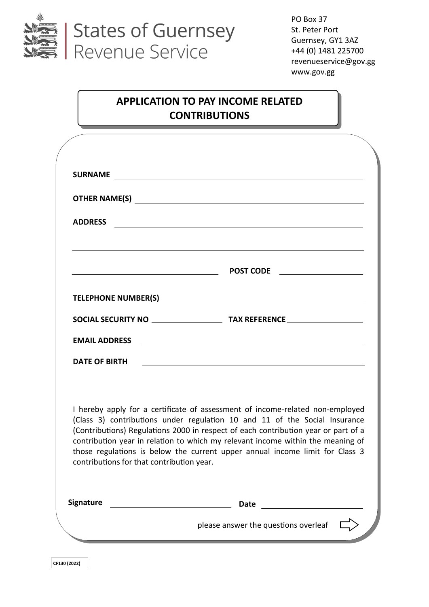

PO Box 37 St. Peter Port Guernsey, GY1 3AZ +44 (0) 1481 225700 revenueservice@gov.gg www.gov.gg

# **APPLICATION TO PAY INCOME RELATED CONTRIBUTIONS**

| <b>SURNAME</b>                                                                                     | <u> 1989 - Johann Stoff, amerikansk politiker (* 1908)</u>                                                                                                                                                                                                                                                                                                                                                           |
|----------------------------------------------------------------------------------------------------|----------------------------------------------------------------------------------------------------------------------------------------------------------------------------------------------------------------------------------------------------------------------------------------------------------------------------------------------------------------------------------------------------------------------|
|                                                                                                    | OTHER NAME(S)                                                                                                                                                                                                                                                                                                                                                                                                        |
| <b>ADDRESS</b>                                                                                     | <u> 1989 - Johann Stoff, deutscher Stoff, der Stoff, der Stoff, der Stoff, der Stoff, der Stoff, der Stoff, der S</u>                                                                                                                                                                                                                                                                                                |
|                                                                                                    | and the control of the control of the control of the control of the control of the control of the control of the                                                                                                                                                                                                                                                                                                     |
|                                                                                                    |                                                                                                                                                                                                                                                                                                                                                                                                                      |
|                                                                                                    |                                                                                                                                                                                                                                                                                                                                                                                                                      |
| <b>EMAIL ADDRESS</b>                                                                               | <u> 1989 - Johann Barbara, martxa alemaniar amerikan basar da a</u>                                                                                                                                                                                                                                                                                                                                                  |
| DATE OF BIRTH                                                                                      | <u> 1980 - Johann Stoff, fransk politik (f. 1980)</u>                                                                                                                                                                                                                                                                                                                                                                |
| contributions for that contribution year.                                                          | I hereby apply for a certificate of assessment of income-related non-employed<br>(Class 3) contributions under regulation 10 and 11 of the Social Insurance<br>(Contributions) Regulations 2000 in respect of each contribution year or part of a<br>contribution year in relation to which my relevant income within the meaning of<br>those regulations is below the current upper annual income limit for Class 3 |
| <b>Signature</b><br><u> 1980 - Johann Barn, mars an t-Amerikaansk ferske område og de formanne</u> | <b>Date</b>                                                                                                                                                                                                                                                                                                                                                                                                          |
|                                                                                                    | please answer the questions overleaf                                                                                                                                                                                                                                                                                                                                                                                 |

**CF130 (2022)**